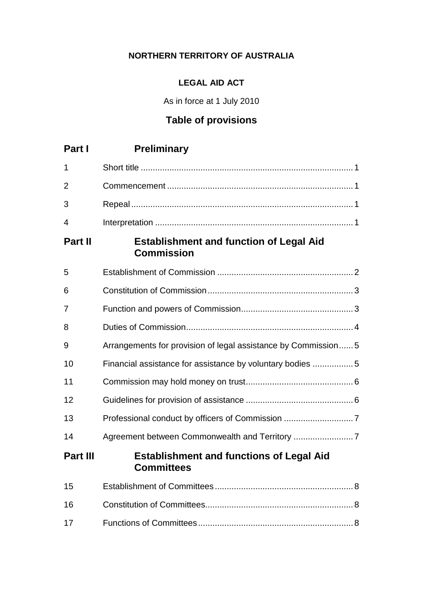# **NORTHERN TERRITORY OF AUSTRALIA**

# **LEGAL AID ACT**

As in force at 1 July 2010

# **Table of provisions**

| Part I          | <b>Preliminary</b>                                                   |
|-----------------|----------------------------------------------------------------------|
| 1               |                                                                      |
| 2               |                                                                      |
| 3               |                                                                      |
| 4               |                                                                      |
| <b>Part II</b>  | <b>Establishment and function of Legal Aid</b><br><b>Commission</b>  |
| 5               |                                                                      |
| 6               |                                                                      |
| 7               |                                                                      |
| 8               |                                                                      |
| 9               | Arrangements for provision of legal assistance by Commission5        |
| 10              | Financial assistance for assistance by voluntary bodies 5            |
| 11              |                                                                      |
| 12              |                                                                      |
| 13              |                                                                      |
| 14              |                                                                      |
| <b>Part III</b> | <b>Establishment and functions of Legal Aid</b><br><b>Committees</b> |
| 15              |                                                                      |
| 16              |                                                                      |
| 17              |                                                                      |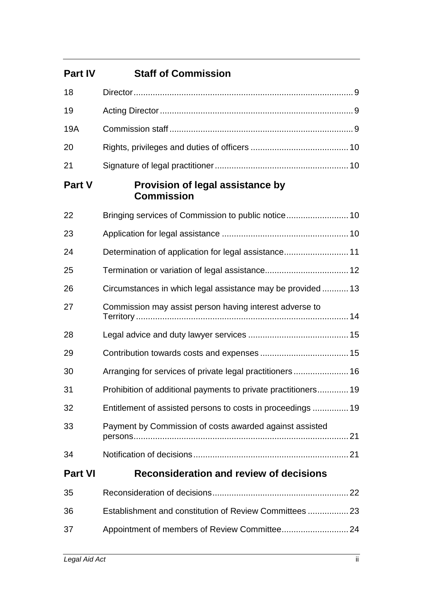| <b>Part IV</b> | <b>Staff of Commission</b>                                    |
|----------------|---------------------------------------------------------------|
| 18             |                                                               |
| 19             |                                                               |
| 19A            |                                                               |
| 20             |                                                               |
| 21             |                                                               |
| <b>Part V</b>  | <b>Provision of legal assistance by</b><br><b>Commission</b>  |
| 22             |                                                               |
| 23             |                                                               |
| 24             |                                                               |
| 25             |                                                               |
| 26             | Circumstances in which legal assistance may be provided13     |
| 27             | Commission may assist person having interest adverse to       |
| 28             |                                                               |
| 29             |                                                               |
| 30             | Arranging for services of private legal practitioners 16      |
| 31             | Prohibition of additional payments to private practitioners19 |
| 32             | Entitlement of assisted persons to costs in proceedings 19    |
| 33             | Payment by Commission of costs awarded against assisted       |
| 34             |                                                               |
| <b>Part VI</b> | <b>Reconsideration and review of decisions</b>                |
| 35             |                                                               |
| 36             | Establishment and constitution of Review Committees  23       |
| 37             |                                                               |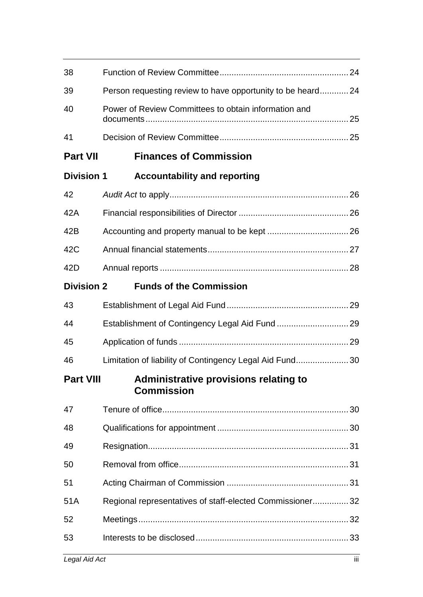| 38                |                                                            |  |
|-------------------|------------------------------------------------------------|--|
| 39                | Person requesting review to have opportunity to be heard24 |  |
| 40                | Power of Review Committees to obtain information and       |  |
| 41                |                                                            |  |
| <b>Part VII</b>   | <b>Finances of Commission</b>                              |  |
| <b>Division 1</b> | <b>Accountability and reporting</b>                        |  |
| 42                |                                                            |  |
| 42A               |                                                            |  |
| 42B               |                                                            |  |
| 42C               |                                                            |  |
| 42D               |                                                            |  |
| <b>Division 2</b> | <b>Funds of the Commission</b>                             |  |
| 43                |                                                            |  |
| 44                |                                                            |  |
| 45                |                                                            |  |
| 46                | Limitation of liability of Contingency Legal Aid Fund30    |  |
| <b>Part VIII</b>  | Administrative provisions relating to<br><b>Commission</b> |  |
| 47                |                                                            |  |
| 48                |                                                            |  |
| 49                |                                                            |  |
| 50                |                                                            |  |
| 51                |                                                            |  |
| 51A               | Regional representatives of staff-elected Commissioner 32  |  |
| 52                |                                                            |  |
| 53                |                                                            |  |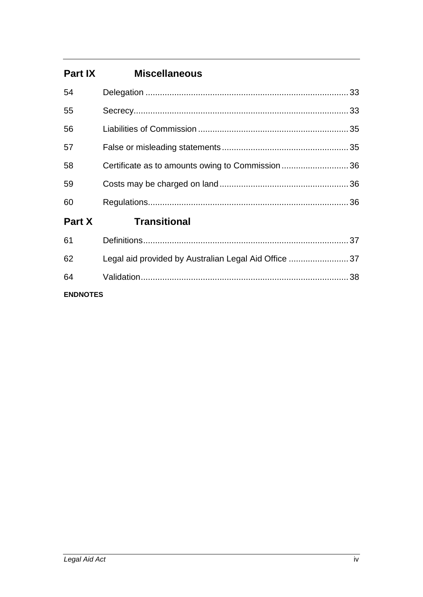| <b>Part IX</b>  | <b>Miscellaneous</b>                                 |  |
|-----------------|------------------------------------------------------|--|
| 54              |                                                      |  |
| 55              |                                                      |  |
| 56              |                                                      |  |
| 57              |                                                      |  |
| 58              | Certificate as to amounts owing to Commission36      |  |
| 59              |                                                      |  |
| 60              |                                                      |  |
| Part X          | <b>Transitional</b>                                  |  |
| 61              |                                                      |  |
| 62              | Legal aid provided by Australian Legal Aid Office 37 |  |
| 64              |                                                      |  |
| <b>ENDNOTES</b> |                                                      |  |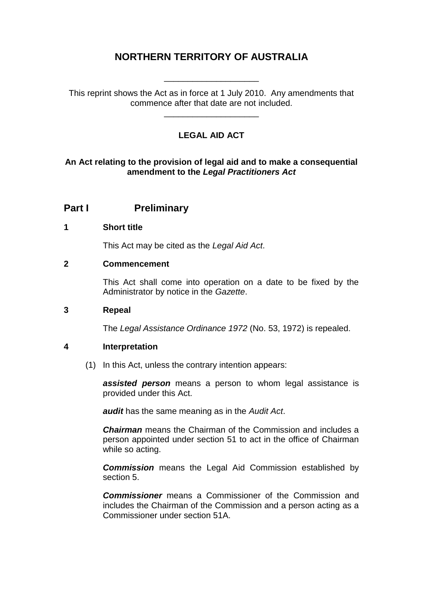# **NORTHERN TERRITORY OF AUSTRALIA**

\_\_\_\_\_\_\_\_\_\_\_\_\_\_\_\_\_\_\_\_

This reprint shows the Act as in force at 1 July 2010. Any amendments that commence after that date are not included.

\_\_\_\_\_\_\_\_\_\_\_\_\_\_\_\_\_\_\_\_

# **LEGAL AID ACT**

### **An Act relating to the provision of legal aid and to make a consequential amendment to the** *Legal Practitioners Act*

# **Part I Preliminary**

#### **1 Short title**

This Act may be cited as the *Legal Aid Act*.

#### **2 Commencement**

This Act shall come into operation on a date to be fixed by the Administrator by notice in the *Gazette*.

#### **3 Repeal**

The *Legal Assistance Ordinance 1972* (No. 53, 1972) is repealed.

### **4 Interpretation**

(1) In this Act, unless the contrary intention appears:

*assisted person* means a person to whom legal assistance is provided under this Act.

*audit* has the same meaning as in the *Audit Act*.

*Chairman* means the Chairman of the Commission and includes a person appointed under section 51 to act in the office of Chairman while so acting.

*Commission* means the Legal Aid Commission established by section 5.

*Commissioner* means a Commissioner of the Commission and includes the Chairman of the Commission and a person acting as a Commissioner under section 51A.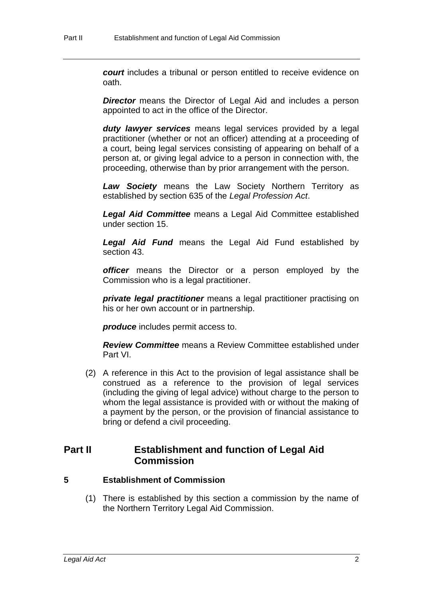*court* includes a tribunal or person entitled to receive evidence on oath.

**Director** means the Director of Legal Aid and includes a person appointed to act in the office of the Director.

*duty lawyer services* means legal services provided by a legal practitioner (whether or not an officer) attending at a proceeding of a court, being legal services consisting of appearing on behalf of a person at, or giving legal advice to a person in connection with, the proceeding, otherwise than by prior arrangement with the person.

*Law Society* means the Law Society Northern Territory as established by section 635 of the *Legal Profession Act*.

*Legal Aid Committee* means a Legal Aid Committee established under section 15.

*Legal Aid Fund* means the Legal Aid Fund established by section 43.

*officer* means the Director or a person employed by the Commission who is a legal practitioner.

*private legal practitioner* means a legal practitioner practising on his or her own account or in partnership.

*produce* includes permit access to.

*Review Committee* means a Review Committee established under Part VI.

(2) A reference in this Act to the provision of legal assistance shall be construed as a reference to the provision of legal services (including the giving of legal advice) without charge to the person to whom the legal assistance is provided with or without the making of a payment by the person, or the provision of financial assistance to bring or defend a civil proceeding.

# **Part II Establishment and function of Legal Aid Commission**

### **5 Establishment of Commission**

(1) There is established by this section a commission by the name of the Northern Territory Legal Aid Commission.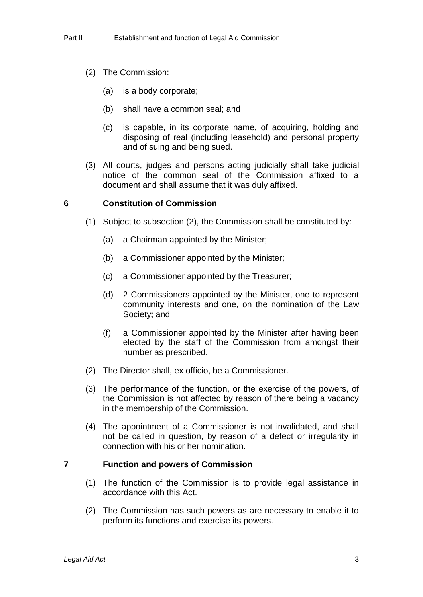- (2) The Commission:
	- (a) is a body corporate;
	- (b) shall have a common seal; and
	- (c) is capable, in its corporate name, of acquiring, holding and disposing of real (including leasehold) and personal property and of suing and being sued.
- (3) All courts, judges and persons acting judicially shall take judicial notice of the common seal of the Commission affixed to a document and shall assume that it was duly affixed.

#### **6 Constitution of Commission**

- (1) Subject to subsection (2), the Commission shall be constituted by:
	- (a) a Chairman appointed by the Minister;
	- (b) a Commissioner appointed by the Minister;
	- (c) a Commissioner appointed by the Treasurer;
	- (d) 2 Commissioners appointed by the Minister, one to represent community interests and one, on the nomination of the Law Society; and
	- (f) a Commissioner appointed by the Minister after having been elected by the staff of the Commission from amongst their number as prescribed.
- (2) The Director shall, ex officio, be a Commissioner.
- (3) The performance of the function, or the exercise of the powers, of the Commission is not affected by reason of there being a vacancy in the membership of the Commission.
- (4) The appointment of a Commissioner is not invalidated, and shall not be called in question, by reason of a defect or irregularity in connection with his or her nomination.

### **7 Function and powers of Commission**

- (1) The function of the Commission is to provide legal assistance in accordance with this Act.
- (2) The Commission has such powers as are necessary to enable it to perform its functions and exercise its powers.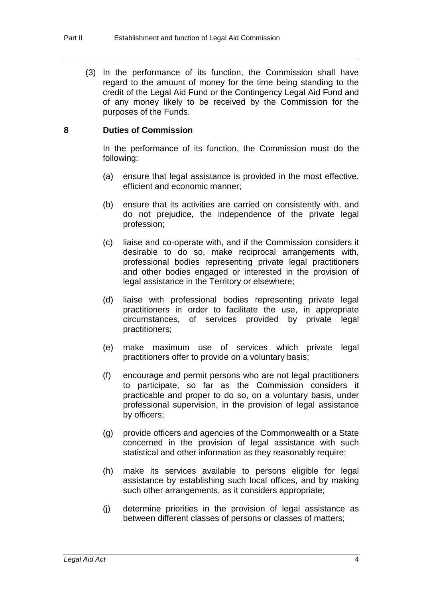(3) In the performance of its function, the Commission shall have regard to the amount of money for the time being standing to the credit of the Legal Aid Fund or the Contingency Legal Aid Fund and of any money likely to be received by the Commission for the purposes of the Funds.

## **8 Duties of Commission**

In the performance of its function, the Commission must do the following:

- (a) ensure that legal assistance is provided in the most effective, efficient and economic manner;
- (b) ensure that its activities are carried on consistently with, and do not prejudice, the independence of the private legal profession;
- (c) liaise and co-operate with, and if the Commission considers it desirable to do so, make reciprocal arrangements with, professional bodies representing private legal practitioners and other bodies engaged or interested in the provision of legal assistance in the Territory or elsewhere;
- (d) liaise with professional bodies representing private legal practitioners in order to facilitate the use, in appropriate circumstances, of services provided by private legal practitioners;
- (e) make maximum use of services which private legal practitioners offer to provide on a voluntary basis;
- (f) encourage and permit persons who are not legal practitioners to participate, so far as the Commission considers it practicable and proper to do so, on a voluntary basis, under professional supervision, in the provision of legal assistance by officers;
- (g) provide officers and agencies of the Commonwealth or a State concerned in the provision of legal assistance with such statistical and other information as they reasonably require;
- (h) make its services available to persons eligible for legal assistance by establishing such local offices, and by making such other arrangements, as it considers appropriate;
- (j) determine priorities in the provision of legal assistance as between different classes of persons or classes of matters;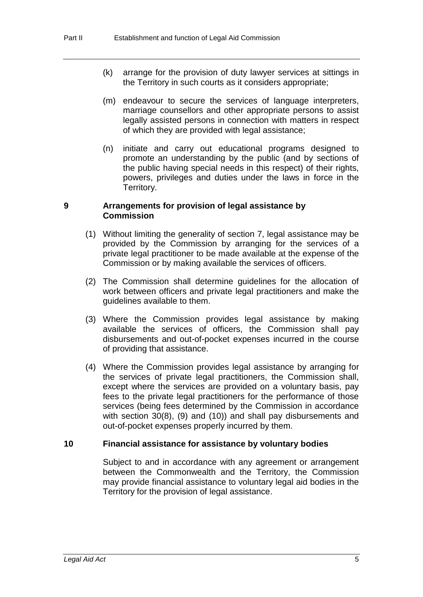- (k) arrange for the provision of duty lawyer services at sittings in the Territory in such courts as it considers appropriate;
- (m) endeavour to secure the services of language interpreters, marriage counsellors and other appropriate persons to assist legally assisted persons in connection with matters in respect of which they are provided with legal assistance;
- (n) initiate and carry out educational programs designed to promote an understanding by the public (and by sections of the public having special needs in this respect) of their rights, powers, privileges and duties under the laws in force in the Territory.

#### **9 Arrangements for provision of legal assistance by Commission**

- (1) Without limiting the generality of section 7, legal assistance may be provided by the Commission by arranging for the services of a private legal practitioner to be made available at the expense of the Commission or by making available the services of officers.
- (2) The Commission shall determine guidelines for the allocation of work between officers and private legal practitioners and make the guidelines available to them.
- (3) Where the Commission provides legal assistance by making available the services of officers, the Commission shall pay disbursements and out-of-pocket expenses incurred in the course of providing that assistance.
- (4) Where the Commission provides legal assistance by arranging for the services of private legal practitioners, the Commission shall, except where the services are provided on a voluntary basis, pay fees to the private legal practitioners for the performance of those services (being fees determined by the Commission in accordance with section 30(8), (9) and (10)) and shall pay disbursements and out-of-pocket expenses properly incurred by them.

### **10 Financial assistance for assistance by voluntary bodies**

Subject to and in accordance with any agreement or arrangement between the Commonwealth and the Territory, the Commission may provide financial assistance to voluntary legal aid bodies in the Territory for the provision of legal assistance.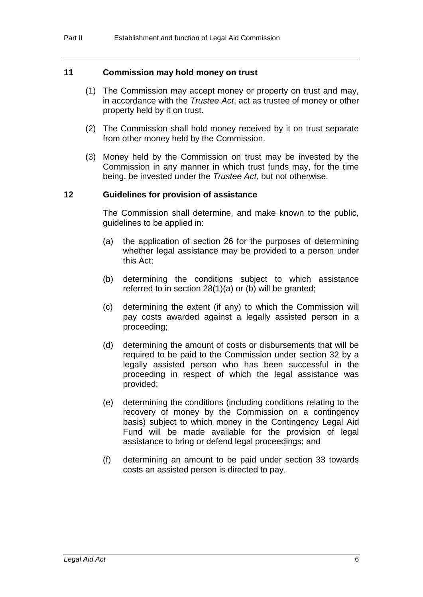#### **11 Commission may hold money on trust**

- (1) The Commission may accept money or property on trust and may, in accordance with the *Trustee Act*, act as trustee of money or other property held by it on trust.
- (2) The Commission shall hold money received by it on trust separate from other money held by the Commission.
- (3) Money held by the Commission on trust may be invested by the Commission in any manner in which trust funds may, for the time being, be invested under the *Trustee Act*, but not otherwise.

#### **12 Guidelines for provision of assistance**

The Commission shall determine, and make known to the public, guidelines to be applied in:

- (a) the application of section 26 for the purposes of determining whether legal assistance may be provided to a person under this Act;
- (b) determining the conditions subject to which assistance referred to in section 28(1)(a) or (b) will be granted;
- (c) determining the extent (if any) to which the Commission will pay costs awarded against a legally assisted person in a proceeding;
- (d) determining the amount of costs or disbursements that will be required to be paid to the Commission under section 32 by a legally assisted person who has been successful in the proceeding in respect of which the legal assistance was provided;
- (e) determining the conditions (including conditions relating to the recovery of money by the Commission on a contingency basis) subject to which money in the Contingency Legal Aid Fund will be made available for the provision of legal assistance to bring or defend legal proceedings; and
- (f) determining an amount to be paid under section 33 towards costs an assisted person is directed to pay.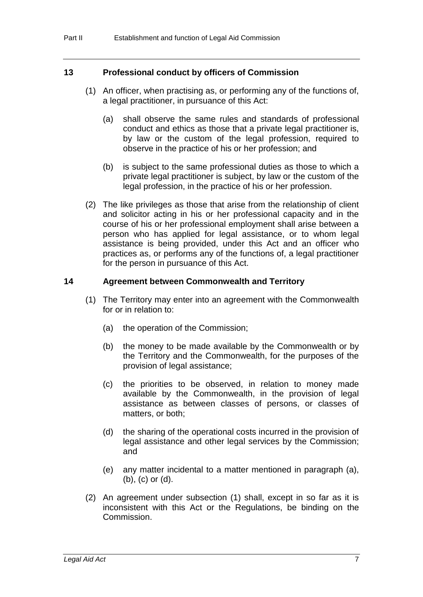#### **13 Professional conduct by officers of Commission**

- (1) An officer, when practising as, or performing any of the functions of, a legal practitioner, in pursuance of this Act:
	- (a) shall observe the same rules and standards of professional conduct and ethics as those that a private legal practitioner is, by law or the custom of the legal profession, required to observe in the practice of his or her profession; and
	- (b) is subject to the same professional duties as those to which a private legal practitioner is subject, by law or the custom of the legal profession, in the practice of his or her profession.
- (2) The like privileges as those that arise from the relationship of client and solicitor acting in his or her professional capacity and in the course of his or her professional employment shall arise between a person who has applied for legal assistance, or to whom legal assistance is being provided, under this Act and an officer who practices as, or performs any of the functions of, a legal practitioner for the person in pursuance of this Act.

#### **14 Agreement between Commonwealth and Territory**

- (1) The Territory may enter into an agreement with the Commonwealth for or in relation to:
	- (a) the operation of the Commission;
	- (b) the money to be made available by the Commonwealth or by the Territory and the Commonwealth, for the purposes of the provision of legal assistance;
	- (c) the priorities to be observed, in relation to money made available by the Commonwealth, in the provision of legal assistance as between classes of persons, or classes of matters, or both;
	- (d) the sharing of the operational costs incurred in the provision of legal assistance and other legal services by the Commission; and
	- (e) any matter incidental to a matter mentioned in paragraph (a), (b), (c) or (d).
- (2) An agreement under subsection (1) shall, except in so far as it is inconsistent with this Act or the Regulations, be binding on the Commission.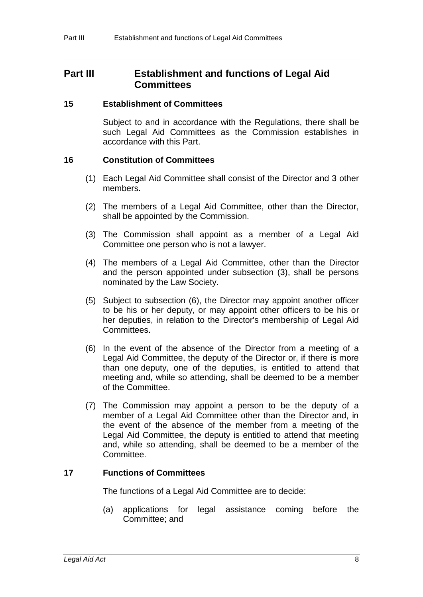# **Part III Establishment and functions of Legal Aid Committees**

#### **15 Establishment of Committees**

Subject to and in accordance with the Regulations, there shall be such Legal Aid Committees as the Commission establishes in accordance with this Part.

### **16 Constitution of Committees**

- (1) Each Legal Aid Committee shall consist of the Director and 3 other members.
- (2) The members of a Legal Aid Committee, other than the Director, shall be appointed by the Commission.
- (3) The Commission shall appoint as a member of a Legal Aid Committee one person who is not a lawyer.
- (4) The members of a Legal Aid Committee, other than the Director and the person appointed under subsection (3), shall be persons nominated by the Law Society.
- (5) Subject to subsection (6), the Director may appoint another officer to be his or her deputy, or may appoint other officers to be his or her deputies, in relation to the Director's membership of Legal Aid Committees.
- (6) In the event of the absence of the Director from a meeting of a Legal Aid Committee, the deputy of the Director or, if there is more than one deputy, one of the deputies, is entitled to attend that meeting and, while so attending, shall be deemed to be a member of the Committee.
- (7) The Commission may appoint a person to be the deputy of a member of a Legal Aid Committee other than the Director and, in the event of the absence of the member from a meeting of the Legal Aid Committee, the deputy is entitled to attend that meeting and, while so attending, shall be deemed to be a member of the Committee.

### **17 Functions of Committees**

The functions of a Legal Aid Committee are to decide:

(a) applications for legal assistance coming before the Committee; and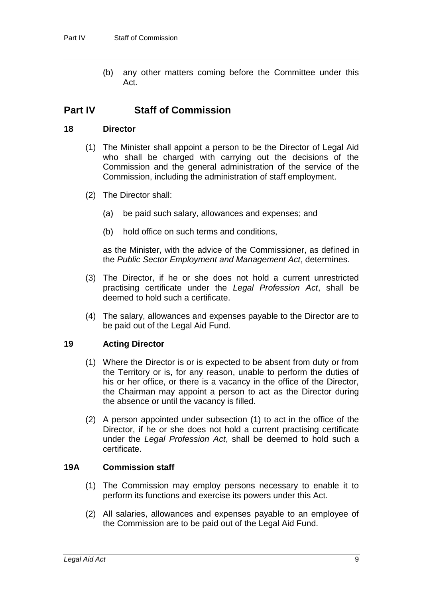(b) any other matters coming before the Committee under this Act.

# **Part IV Staff of Commission**

### **18 Director**

- (1) The Minister shall appoint a person to be the Director of Legal Aid who shall be charged with carrying out the decisions of the Commission and the general administration of the service of the Commission, including the administration of staff employment.
- (2) The Director shall:
	- (a) be paid such salary, allowances and expenses; and
	- (b) hold office on such terms and conditions,

as the Minister, with the advice of the Commissioner, as defined in the *Public Sector Employment and Management Act*, determines.

- (3) The Director, if he or she does not hold a current unrestricted practising certificate under the *Legal Profession Act*, shall be deemed to hold such a certificate.
- (4) The salary, allowances and expenses payable to the Director are to be paid out of the Legal Aid Fund.

# **19 Acting Director**

- (1) Where the Director is or is expected to be absent from duty or from the Territory or is, for any reason, unable to perform the duties of his or her office, or there is a vacancy in the office of the Director, the Chairman may appoint a person to act as the Director during the absence or until the vacancy is filled.
- (2) A person appointed under subsection (1) to act in the office of the Director, if he or she does not hold a current practising certificate under the *Legal Profession Act*, shall be deemed to hold such a certificate.

# **19A Commission staff**

- (1) The Commission may employ persons necessary to enable it to perform its functions and exercise its powers under this Act.
- (2) All salaries, allowances and expenses payable to an employee of the Commission are to be paid out of the Legal Aid Fund.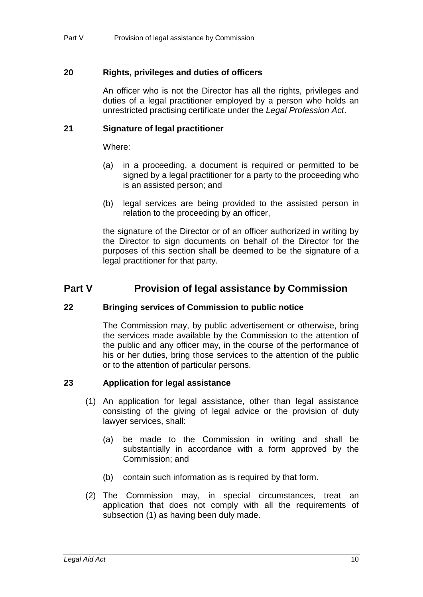### **20 Rights, privileges and duties of officers**

An officer who is not the Director has all the rights, privileges and duties of a legal practitioner employed by a person who holds an unrestricted practising certificate under the *Legal Profession Act*.

### **21 Signature of legal practitioner**

Where:

- (a) in a proceeding, a document is required or permitted to be signed by a legal practitioner for a party to the proceeding who is an assisted person; and
- (b) legal services are being provided to the assisted person in relation to the proceeding by an officer,

the signature of the Director or of an officer authorized in writing by the Director to sign documents on behalf of the Director for the purposes of this section shall be deemed to be the signature of a legal practitioner for that party.

# **Part V Provision of legal assistance by Commission**

### **22 Bringing services of Commission to public notice**

The Commission may, by public advertisement or otherwise, bring the services made available by the Commission to the attention of the public and any officer may, in the course of the performance of his or her duties, bring those services to the attention of the public or to the attention of particular persons.

### **23 Application for legal assistance**

- (1) An application for legal assistance, other than legal assistance consisting of the giving of legal advice or the provision of duty lawyer services, shall:
	- (a) be made to the Commission in writing and shall be substantially in accordance with a form approved by the Commission; and
	- (b) contain such information as is required by that form.
- (2) The Commission may, in special circumstances, treat an application that does not comply with all the requirements of subsection (1) as having been duly made.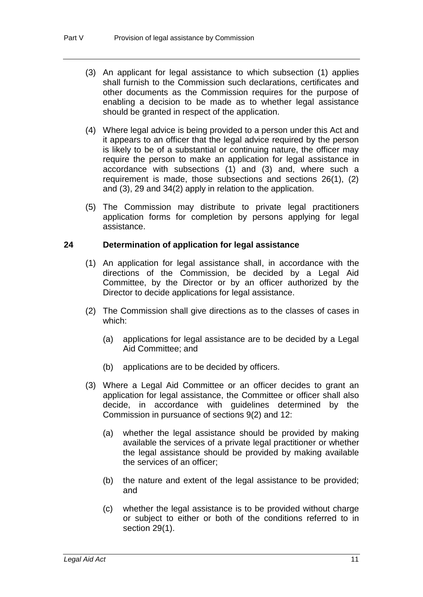- (3) An applicant for legal assistance to which subsection (1) applies shall furnish to the Commission such declarations, certificates and other documents as the Commission requires for the purpose of enabling a decision to be made as to whether legal assistance should be granted in respect of the application.
- (4) Where legal advice is being provided to a person under this Act and it appears to an officer that the legal advice required by the person is likely to be of a substantial or continuing nature, the officer may require the person to make an application for legal assistance in accordance with subsections (1) and (3) and, where such a requirement is made, those subsections and sections 26(1), (2) and (3), 29 and 34(2) apply in relation to the application.
- (5) The Commission may distribute to private legal practitioners application forms for completion by persons applying for legal assistance.

#### **24 Determination of application for legal assistance**

- (1) An application for legal assistance shall, in accordance with the directions of the Commission, be decided by a Legal Aid Committee, by the Director or by an officer authorized by the Director to decide applications for legal assistance.
- (2) The Commission shall give directions as to the classes of cases in which:
	- (a) applications for legal assistance are to be decided by a Legal Aid Committee; and
	- (b) applications are to be decided by officers.
- (3) Where a Legal Aid Committee or an officer decides to grant an application for legal assistance, the Committee or officer shall also decide, in accordance with guidelines determined by the Commission in pursuance of sections 9(2) and 12:
	- (a) whether the legal assistance should be provided by making available the services of a private legal practitioner or whether the legal assistance should be provided by making available the services of an officer;
	- (b) the nature and extent of the legal assistance to be provided; and
	- (c) whether the legal assistance is to be provided without charge or subject to either or both of the conditions referred to in section 29(1).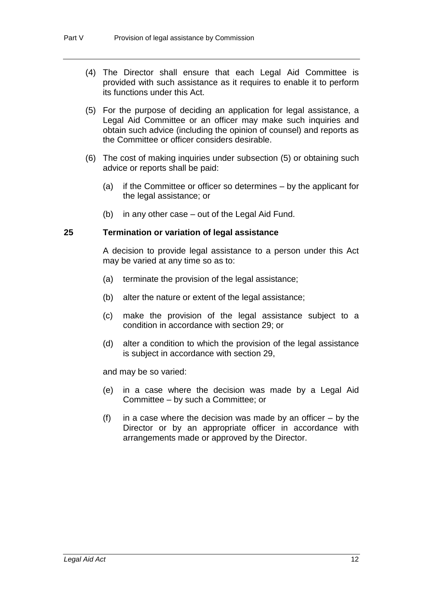- (4) The Director shall ensure that each Legal Aid Committee is provided with such assistance as it requires to enable it to perform its functions under this Act.
- (5) For the purpose of deciding an application for legal assistance, a Legal Aid Committee or an officer may make such inquiries and obtain such advice (including the opinion of counsel) and reports as the Committee or officer considers desirable.
- (6) The cost of making inquiries under subsection (5) or obtaining such advice or reports shall be paid:
	- (a) if the Committee or officer so determines by the applicant for the legal assistance; or
	- (b) in any other case out of the Legal Aid Fund.

#### **25 Termination or variation of legal assistance**

A decision to provide legal assistance to a person under this Act may be varied at any time so as to:

- (a) terminate the provision of the legal assistance;
- (b) alter the nature or extent of the legal assistance;
- (c) make the provision of the legal assistance subject to a condition in accordance with section 29; or
- (d) alter a condition to which the provision of the legal assistance is subject in accordance with section 29,

and may be so varied:

- (e) in a case where the decision was made by a Legal Aid Committee – by such a Committee; or
- (f) in a case where the decision was made by an officer  $-$  by the Director or by an appropriate officer in accordance with arrangements made or approved by the Director.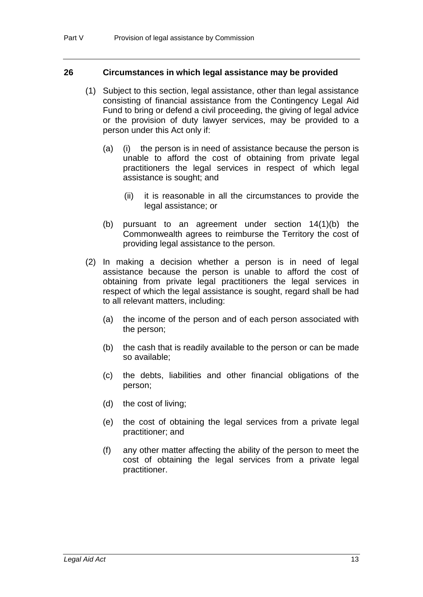#### **26 Circumstances in which legal assistance may be provided**

- (1) Subject to this section, legal assistance, other than legal assistance consisting of financial assistance from the Contingency Legal Aid Fund to bring or defend a civil proceeding, the giving of legal advice or the provision of duty lawyer services, may be provided to a person under this Act only if:
	- (a) (i) the person is in need of assistance because the person is unable to afford the cost of obtaining from private legal practitioners the legal services in respect of which legal assistance is sought; and
		- (ii) it is reasonable in all the circumstances to provide the legal assistance; or
	- (b) pursuant to an agreement under section 14(1)(b) the Commonwealth agrees to reimburse the Territory the cost of providing legal assistance to the person.
- (2) In making a decision whether a person is in need of legal assistance because the person is unable to afford the cost of obtaining from private legal practitioners the legal services in respect of which the legal assistance is sought, regard shall be had to all relevant matters, including:
	- (a) the income of the person and of each person associated with the person;
	- (b) the cash that is readily available to the person or can be made so available;
	- (c) the debts, liabilities and other financial obligations of the person;
	- (d) the cost of living;
	- (e) the cost of obtaining the legal services from a private legal practitioner; and
	- (f) any other matter affecting the ability of the person to meet the cost of obtaining the legal services from a private legal practitioner.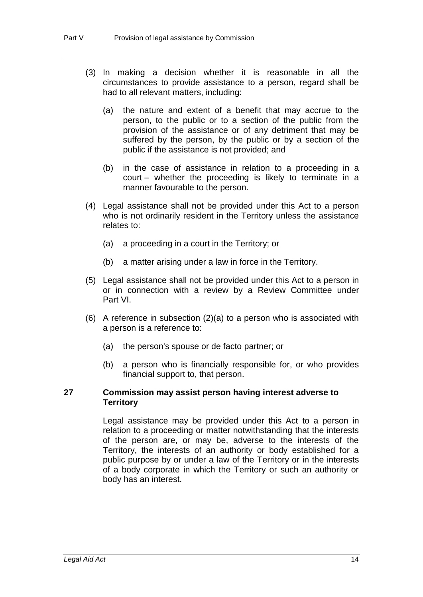- (3) In making a decision whether it is reasonable in all the circumstances to provide assistance to a person, regard shall be had to all relevant matters, including:
	- (a) the nature and extent of a benefit that may accrue to the person, to the public or to a section of the public from the provision of the assistance or of any detriment that may be suffered by the person, by the public or by a section of the public if the assistance is not provided; and
	- (b) in the case of assistance in relation to a proceeding in a court – whether the proceeding is likely to terminate in a manner favourable to the person.
- (4) Legal assistance shall not be provided under this Act to a person who is not ordinarily resident in the Territory unless the assistance relates to:
	- (a) a proceeding in a court in the Territory; or
	- (b) a matter arising under a law in force in the Territory.
- (5) Legal assistance shall not be provided under this Act to a person in or in connection with a review by a Review Committee under Part VI.
- (6) A reference in subsection (2)(a) to a person who is associated with a person is a reference to:
	- (a) the person's spouse or de facto partner; or
	- (b) a person who is financially responsible for, or who provides financial support to, that person.

#### **27 Commission may assist person having interest adverse to Territory**

Legal assistance may be provided under this Act to a person in relation to a proceeding or matter notwithstanding that the interests of the person are, or may be, adverse to the interests of the Territory, the interests of an authority or body established for a public purpose by or under a law of the Territory or in the interests of a body corporate in which the Territory or such an authority or body has an interest.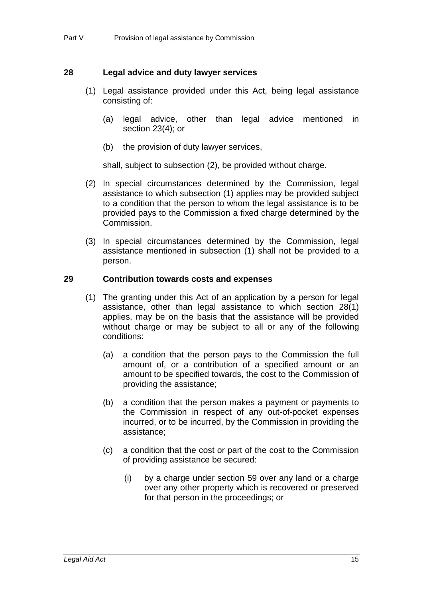### **28 Legal advice and duty lawyer services**

- (1) Legal assistance provided under this Act, being legal assistance consisting of:
	- (a) legal advice, other than legal advice mentioned in section 23(4); or
	- (b) the provision of duty lawyer services,

shall, subject to subsection (2), be provided without charge.

- (2) In special circumstances determined by the Commission, legal assistance to which subsection (1) applies may be provided subject to a condition that the person to whom the legal assistance is to be provided pays to the Commission a fixed charge determined by the Commission.
- (3) In special circumstances determined by the Commission, legal assistance mentioned in subsection (1) shall not be provided to a person.

#### **29 Contribution towards costs and expenses**

- (1) The granting under this Act of an application by a person for legal assistance, other than legal assistance to which section 28(1) applies, may be on the basis that the assistance will be provided without charge or may be subject to all or any of the following conditions:
	- (a) a condition that the person pays to the Commission the full amount of, or a contribution of a specified amount or an amount to be specified towards, the cost to the Commission of providing the assistance;
	- (b) a condition that the person makes a payment or payments to the Commission in respect of any out-of-pocket expenses incurred, or to be incurred, by the Commission in providing the assistance;
	- (c) a condition that the cost or part of the cost to the Commission of providing assistance be secured:
		- (i) by a charge under section 59 over any land or a charge over any other property which is recovered or preserved for that person in the proceedings; or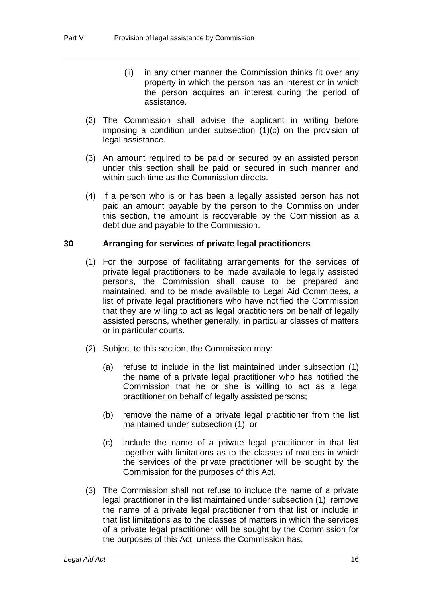- (ii) in any other manner the Commission thinks fit over any property in which the person has an interest or in which the person acquires an interest during the period of assistance.
- (2) The Commission shall advise the applicant in writing before imposing a condition under subsection (1)(c) on the provision of legal assistance.
- (3) An amount required to be paid or secured by an assisted person under this section shall be paid or secured in such manner and within such time as the Commission directs.
- (4) If a person who is or has been a legally assisted person has not paid an amount payable by the person to the Commission under this section, the amount is recoverable by the Commission as a debt due and payable to the Commission.

## **30 Arranging for services of private legal practitioners**

- (1) For the purpose of facilitating arrangements for the services of private legal practitioners to be made available to legally assisted persons, the Commission shall cause to be prepared and maintained, and to be made available to Legal Aid Committees, a list of private legal practitioners who have notified the Commission that they are willing to act as legal practitioners on behalf of legally assisted persons, whether generally, in particular classes of matters or in particular courts.
- (2) Subject to this section, the Commission may:
	- (a) refuse to include in the list maintained under subsection (1) the name of a private legal practitioner who has notified the Commission that he or she is willing to act as a legal practitioner on behalf of legally assisted persons;
	- (b) remove the name of a private legal practitioner from the list maintained under subsection (1); or
	- (c) include the name of a private legal practitioner in that list together with limitations as to the classes of matters in which the services of the private practitioner will be sought by the Commission for the purposes of this Act.
- (3) The Commission shall not refuse to include the name of a private legal practitioner in the list maintained under subsection (1), remove the name of a private legal practitioner from that list or include in that list limitations as to the classes of matters in which the services of a private legal practitioner will be sought by the Commission for the purposes of this Act, unless the Commission has: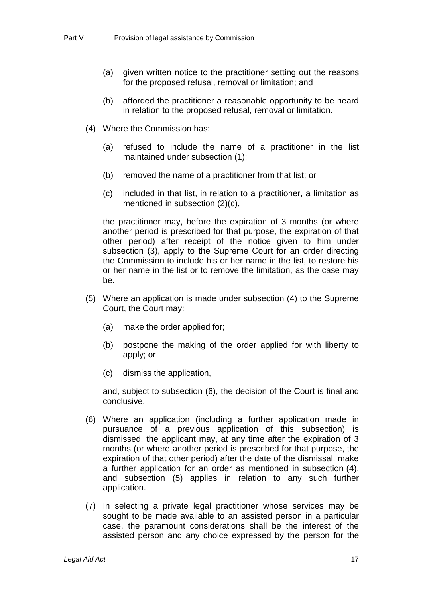- (a) given written notice to the practitioner setting out the reasons for the proposed refusal, removal or limitation; and
- (b) afforded the practitioner a reasonable opportunity to be heard in relation to the proposed refusal, removal or limitation.
- (4) Where the Commission has:
	- (a) refused to include the name of a practitioner in the list maintained under subsection (1);
	- (b) removed the name of a practitioner from that list; or
	- (c) included in that list, in relation to a practitioner, a limitation as mentioned in subsection (2)(c),

the practitioner may, before the expiration of 3 months (or where another period is prescribed for that purpose, the expiration of that other period) after receipt of the notice given to him under subsection (3), apply to the Supreme Court for an order directing the Commission to include his or her name in the list, to restore his or her name in the list or to remove the limitation, as the case may be.

- (5) Where an application is made under subsection (4) to the Supreme Court, the Court may:
	- (a) make the order applied for;
	- (b) postpone the making of the order applied for with liberty to apply; or
	- (c) dismiss the application,

and, subject to subsection (6), the decision of the Court is final and conclusive.

- (6) Where an application (including a further application made in pursuance of a previous application of this subsection) is dismissed, the applicant may, at any time after the expiration of 3 months (or where another period is prescribed for that purpose, the expiration of that other period) after the date of the dismissal, make a further application for an order as mentioned in subsection (4), and subsection (5) applies in relation to any such further application.
- (7) In selecting a private legal practitioner whose services may be sought to be made available to an assisted person in a particular case, the paramount considerations shall be the interest of the assisted person and any choice expressed by the person for the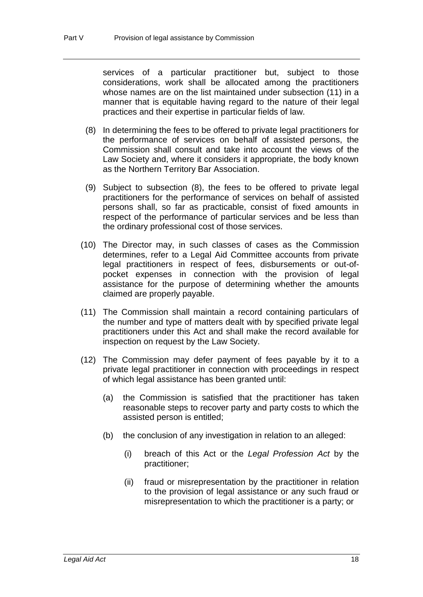services of a particular practitioner but, subject to those considerations, work shall be allocated among the practitioners whose names are on the list maintained under subsection (11) in a manner that is equitable having regard to the nature of their legal practices and their expertise in particular fields of law.

- (8) In determining the fees to be offered to private legal practitioners for the performance of services on behalf of assisted persons, the Commission shall consult and take into account the views of the Law Society and, where it considers it appropriate, the body known as the Northern Territory Bar Association.
- (9) Subject to subsection (8), the fees to be offered to private legal practitioners for the performance of services on behalf of assisted persons shall, so far as practicable, consist of fixed amounts in respect of the performance of particular services and be less than the ordinary professional cost of those services.
- (10) The Director may, in such classes of cases as the Commission determines, refer to a Legal Aid Committee accounts from private legal practitioners in respect of fees, disbursements or out-ofpocket expenses in connection with the provision of legal assistance for the purpose of determining whether the amounts claimed are properly payable.
- (11) The Commission shall maintain a record containing particulars of the number and type of matters dealt with by specified private legal practitioners under this Act and shall make the record available for inspection on request by the Law Society.
- (12) The Commission may defer payment of fees payable by it to a private legal practitioner in connection with proceedings in respect of which legal assistance has been granted until:
	- (a) the Commission is satisfied that the practitioner has taken reasonable steps to recover party and party costs to which the assisted person is entitled;
	- (b) the conclusion of any investigation in relation to an alleged:
		- (i) breach of this Act or the *Legal Profession Act* by the practitioner;
		- (ii) fraud or misrepresentation by the practitioner in relation to the provision of legal assistance or any such fraud or misrepresentation to which the practitioner is a party; or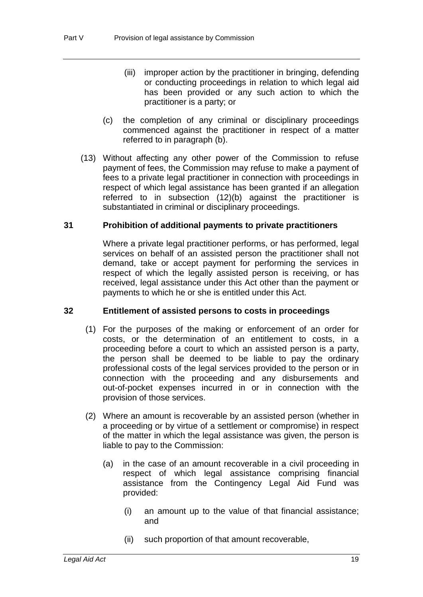- (iii) improper action by the practitioner in bringing, defending or conducting proceedings in relation to which legal aid has been provided or any such action to which the practitioner is a party; or
- (c) the completion of any criminal or disciplinary proceedings commenced against the practitioner in respect of a matter referred to in paragraph (b).
- (13) Without affecting any other power of the Commission to refuse payment of fees, the Commission may refuse to make a payment of fees to a private legal practitioner in connection with proceedings in respect of which legal assistance has been granted if an allegation referred to in subsection (12)(b) against the practitioner is substantiated in criminal or disciplinary proceedings.

### **31 Prohibition of additional payments to private practitioners**

Where a private legal practitioner performs, or has performed, legal services on behalf of an assisted person the practitioner shall not demand, take or accept payment for performing the services in respect of which the legally assisted person is receiving, or has received, legal assistance under this Act other than the payment or payments to which he or she is entitled under this Act.

### **32 Entitlement of assisted persons to costs in proceedings**

- (1) For the purposes of the making or enforcement of an order for costs, or the determination of an entitlement to costs, in a proceeding before a court to which an assisted person is a party, the person shall be deemed to be liable to pay the ordinary professional costs of the legal services provided to the person or in connection with the proceeding and any disbursements and out-of-pocket expenses incurred in or in connection with the provision of those services.
- (2) Where an amount is recoverable by an assisted person (whether in a proceeding or by virtue of a settlement or compromise) in respect of the matter in which the legal assistance was given, the person is liable to pay to the Commission:
	- (a) in the case of an amount recoverable in a civil proceeding in respect of which legal assistance comprising financial assistance from the Contingency Legal Aid Fund was provided:
		- (i) an amount up to the value of that financial assistance; and
		- (ii) such proportion of that amount recoverable,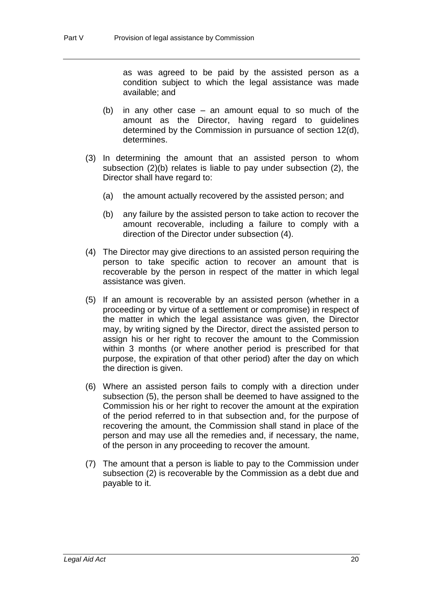as was agreed to be paid by the assisted person as a condition subject to which the legal assistance was made available; and

- (b) in any other case an amount equal to so much of the amount as the Director, having regard to guidelines determined by the Commission in pursuance of section 12(d), determines.
- (3) In determining the amount that an assisted person to whom subsection (2)(b) relates is liable to pay under subsection (2), the Director shall have regard to:
	- (a) the amount actually recovered by the assisted person; and
	- (b) any failure by the assisted person to take action to recover the amount recoverable, including a failure to comply with a direction of the Director under subsection (4).
- (4) The Director may give directions to an assisted person requiring the person to take specific action to recover an amount that is recoverable by the person in respect of the matter in which legal assistance was given.
- (5) If an amount is recoverable by an assisted person (whether in a proceeding or by virtue of a settlement or compromise) in respect of the matter in which the legal assistance was given, the Director may, by writing signed by the Director, direct the assisted person to assign his or her right to recover the amount to the Commission within 3 months (or where another period is prescribed for that purpose, the expiration of that other period) after the day on which the direction is given.
- (6) Where an assisted person fails to comply with a direction under subsection (5), the person shall be deemed to have assigned to the Commission his or her right to recover the amount at the expiration of the period referred to in that subsection and, for the purpose of recovering the amount, the Commission shall stand in place of the person and may use all the remedies and, if necessary, the name, of the person in any proceeding to recover the amount.
- (7) The amount that a person is liable to pay to the Commission under subsection (2) is recoverable by the Commission as a debt due and payable to it.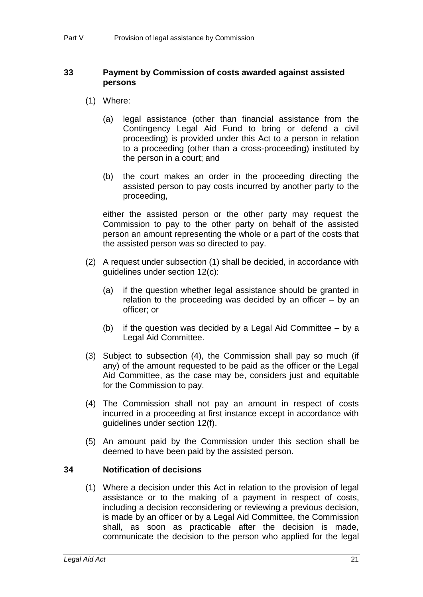### **33 Payment by Commission of costs awarded against assisted persons**

- (1) Where:
	- (a) legal assistance (other than financial assistance from the Contingency Legal Aid Fund to bring or defend a civil proceeding) is provided under this Act to a person in relation to a proceeding (other than a cross-proceeding) instituted by the person in a court; and
	- (b) the court makes an order in the proceeding directing the assisted person to pay costs incurred by another party to the proceeding,

either the assisted person or the other party may request the Commission to pay to the other party on behalf of the assisted person an amount representing the whole or a part of the costs that the assisted person was so directed to pay.

- (2) A request under subsection (1) shall be decided, in accordance with guidelines under section 12(c):
	- (a) if the question whether legal assistance should be granted in relation to the proceeding was decided by an officer – by an officer; or
	- (b) if the question was decided by a Legal Aid Committee by a Legal Aid Committee.
- (3) Subject to subsection (4), the Commission shall pay so much (if any) of the amount requested to be paid as the officer or the Legal Aid Committee, as the case may be, considers just and equitable for the Commission to pay.
- (4) The Commission shall not pay an amount in respect of costs incurred in a proceeding at first instance except in accordance with guidelines under section 12(f).
- (5) An amount paid by the Commission under this section shall be deemed to have been paid by the assisted person.

### **34 Notification of decisions**

(1) Where a decision under this Act in relation to the provision of legal assistance or to the making of a payment in respect of costs, including a decision reconsidering or reviewing a previous decision, is made by an officer or by a Legal Aid Committee, the Commission shall, as soon as practicable after the decision is made, communicate the decision to the person who applied for the legal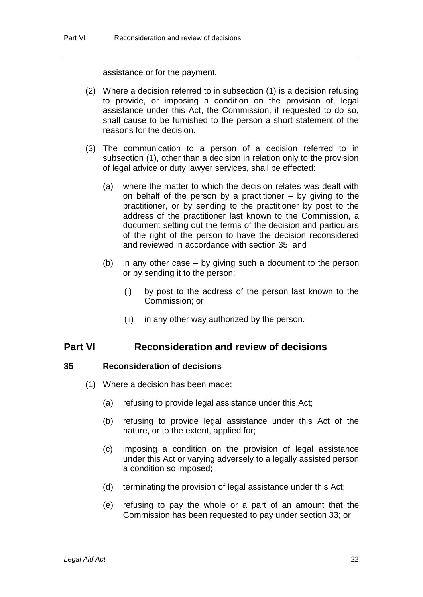assistance or for the payment.

- (2) Where a decision referred to in subsection (1) is a decision refusing to provide, or imposing a condition on the provision of, legal assistance under this Act, the Commission, if requested to do so, shall cause to be furnished to the person a short statement of the reasons for the decision.
- (3) The communication to a person of a decision referred to in subsection (1), other than a decision in relation only to the provision of legal advice or duty lawyer services, shall be effected:
	- (a) where the matter to which the decision relates was dealt with on behalf of the person by a practitioner – by giving to the practitioner, or by sending to the practitioner by post to the address of the practitioner last known to the Commission, a document setting out the terms of the decision and particulars of the right of the person to have the decision reconsidered and reviewed in accordance with section 35; and
	- (b) in any other case by giving such a document to the person or by sending it to the person:
		- (i) by post to the address of the person last known to the Commission; or
		- (ii) in any other way authorized by the person.

# **Part VI Reconsideration and review of decisions**

### **35 Reconsideration of decisions**

- (1) Where a decision has been made:
	- (a) refusing to provide legal assistance under this Act;
	- (b) refusing to provide legal assistance under this Act of the nature, or to the extent, applied for;
	- (c) imposing a condition on the provision of legal assistance under this Act or varying adversely to a legally assisted person a condition so imposed;
	- (d) terminating the provision of legal assistance under this Act;
	- (e) refusing to pay the whole or a part of an amount that the Commission has been requested to pay under section 33; or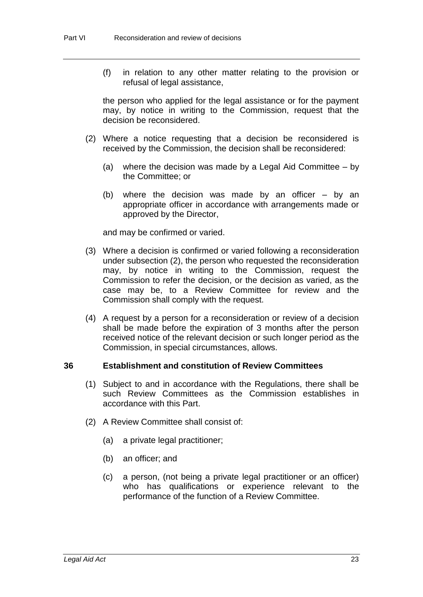(f) in relation to any other matter relating to the provision or refusal of legal assistance,

the person who applied for the legal assistance or for the payment may, by notice in writing to the Commission, request that the decision be reconsidered.

- (2) Where a notice requesting that a decision be reconsidered is received by the Commission, the decision shall be reconsidered:
	- (a) where the decision was made by a Legal Aid Committee by the Committee; or
	- (b) where the decision was made by an officer by an appropriate officer in accordance with arrangements made or approved by the Director,

and may be confirmed or varied.

- (3) Where a decision is confirmed or varied following a reconsideration under subsection (2), the person who requested the reconsideration may, by notice in writing to the Commission, request the Commission to refer the decision, or the decision as varied, as the case may be, to a Review Committee for review and the Commission shall comply with the request.
- (4) A request by a person for a reconsideration or review of a decision shall be made before the expiration of 3 months after the person received notice of the relevant decision or such longer period as the Commission, in special circumstances, allows.

#### **36 Establishment and constitution of Review Committees**

- (1) Subject to and in accordance with the Regulations, there shall be such Review Committees as the Commission establishes in accordance with this Part.
- (2) A Review Committee shall consist of:
	- (a) a private legal practitioner;
	- (b) an officer; and
	- (c) a person, (not being a private legal practitioner or an officer) who has qualifications or experience relevant to the performance of the function of a Review Committee.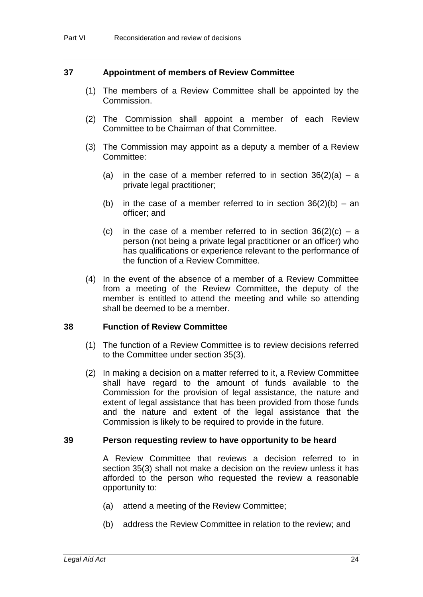#### **37 Appointment of members of Review Committee**

- (1) The members of a Review Committee shall be appointed by the Commission.
- (2) The Commission shall appoint a member of each Review Committee to be Chairman of that Committee.
- (3) The Commission may appoint as a deputy a member of a Review Committee:
	- (a) in the case of a member referred to in section  $36(2)(a) a$ private legal practitioner;
	- (b) in the case of a member referred to in section  $36(2)(b) an$ officer; and
	- (c) in the case of a member referred to in section  $36(2)(c) a$ person (not being a private legal practitioner or an officer) who has qualifications or experience relevant to the performance of the function of a Review Committee.
- (4) In the event of the absence of a member of a Review Committee from a meeting of the Review Committee, the deputy of the member is entitled to attend the meeting and while so attending shall be deemed to be a member.

#### **38 Function of Review Committee**

- (1) The function of a Review Committee is to review decisions referred to the Committee under section 35(3).
- (2) In making a decision on a matter referred to it, a Review Committee shall have regard to the amount of funds available to the Commission for the provision of legal assistance, the nature and extent of legal assistance that has been provided from those funds and the nature and extent of the legal assistance that the Commission is likely to be required to provide in the future.

#### **39 Person requesting review to have opportunity to be heard**

A Review Committee that reviews a decision referred to in section 35(3) shall not make a decision on the review unless it has afforded to the person who requested the review a reasonable opportunity to:

- (a) attend a meeting of the Review Committee;
- (b) address the Review Committee in relation to the review; and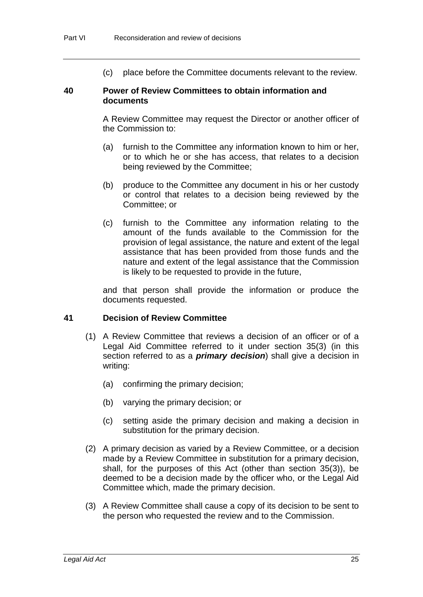(c) place before the Committee documents relevant to the review.

#### **40 Power of Review Committees to obtain information and documents**

A Review Committee may request the Director or another officer of the Commission to:

- (a) furnish to the Committee any information known to him or her, or to which he or she has access, that relates to a decision being reviewed by the Committee;
- (b) produce to the Committee any document in his or her custody or control that relates to a decision being reviewed by the Committee; or
- (c) furnish to the Committee any information relating to the amount of the funds available to the Commission for the provision of legal assistance, the nature and extent of the legal assistance that has been provided from those funds and the nature and extent of the legal assistance that the Commission is likely to be requested to provide in the future,

and that person shall provide the information or produce the documents requested.

### **41 Decision of Review Committee**

- (1) A Review Committee that reviews a decision of an officer or of a Legal Aid Committee referred to it under section 35(3) (in this section referred to as a *primary decision*) shall give a decision in writing:
	- (a) confirming the primary decision;
	- (b) varying the primary decision; or
	- (c) setting aside the primary decision and making a decision in substitution for the primary decision.
- (2) A primary decision as varied by a Review Committee, or a decision made by a Review Committee in substitution for a primary decision, shall, for the purposes of this Act (other than section 35(3)), be deemed to be a decision made by the officer who, or the Legal Aid Committee which, made the primary decision.
- (3) A Review Committee shall cause a copy of its decision to be sent to the person who requested the review and to the Commission.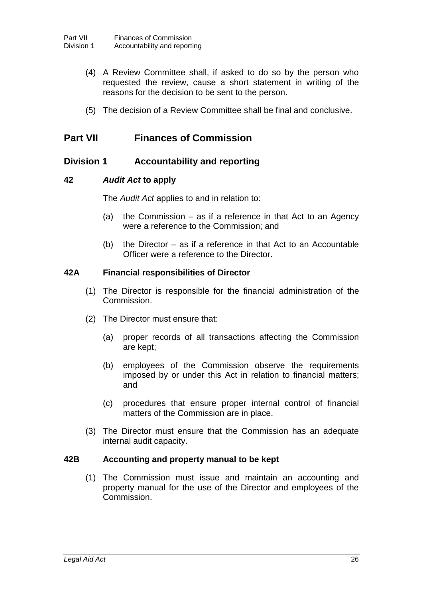- (4) A Review Committee shall, if asked to do so by the person who requested the review, cause a short statement in writing of the reasons for the decision to be sent to the person.
- (5) The decision of a Review Committee shall be final and conclusive.

# **Part VII Finances of Commission**

## **Division 1 Accountability and reporting**

### **42** *Audit Act* **to apply**

The *Audit Act* applies to and in relation to:

- (a) the Commission as if a reference in that Act to an Agency were a reference to the Commission; and
- (b) the Director as if a reference in that Act to an Accountable Officer were a reference to the Director.

#### **42A Financial responsibilities of Director**

- (1) The Director is responsible for the financial administration of the Commission.
- (2) The Director must ensure that:
	- (a) proper records of all transactions affecting the Commission are kept;
	- (b) employees of the Commission observe the requirements imposed by or under this Act in relation to financial matters; and
	- (c) procedures that ensure proper internal control of financial matters of the Commission are in place.
- (3) The Director must ensure that the Commission has an adequate internal audit capacity.

# **42B Accounting and property manual to be kept**

(1) The Commission must issue and maintain an accounting and property manual for the use of the Director and employees of the Commission.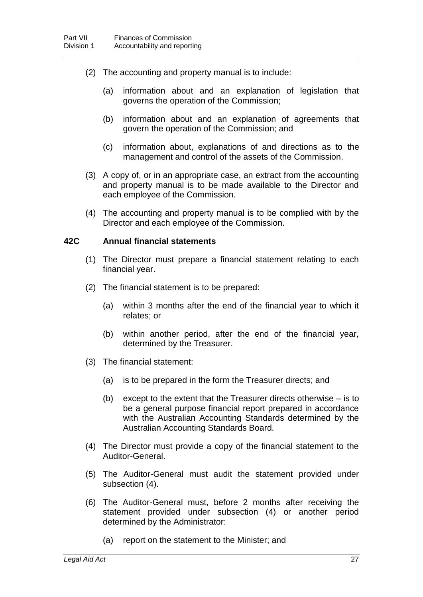- (2) The accounting and property manual is to include:
	- (a) information about and an explanation of legislation that governs the operation of the Commission;
	- (b) information about and an explanation of agreements that govern the operation of the Commission; and
	- (c) information about, explanations of and directions as to the management and control of the assets of the Commission.
- (3) A copy of, or in an appropriate case, an extract from the accounting and property manual is to be made available to the Director and each employee of the Commission.
- (4) The accounting and property manual is to be complied with by the Director and each employee of the Commission.

#### **42C Annual financial statements**

- (1) The Director must prepare a financial statement relating to each financial year.
- (2) The financial statement is to be prepared:
	- (a) within 3 months after the end of the financial year to which it relates; or
	- (b) within another period, after the end of the financial year, determined by the Treasurer.
- (3) The financial statement:
	- (a) is to be prepared in the form the Treasurer directs; and
	- (b) except to the extent that the Treasurer directs otherwise is to be a general purpose financial report prepared in accordance with the Australian Accounting Standards determined by the Australian Accounting Standards Board.
- (4) The Director must provide a copy of the financial statement to the Auditor-General.
- (5) The Auditor-General must audit the statement provided under subsection (4).
- (6) The Auditor-General must, before 2 months after receiving the statement provided under subsection (4) or another period determined by the Administrator:
	- (a) report on the statement to the Minister; and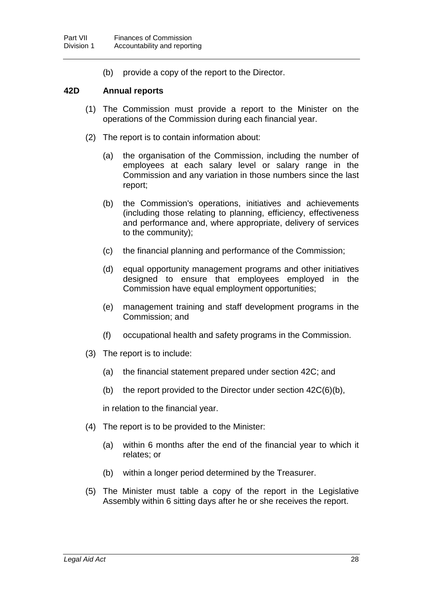(b) provide a copy of the report to the Director.

#### **42D Annual reports**

- (1) The Commission must provide a report to the Minister on the operations of the Commission during each financial year.
- (2) The report is to contain information about:
	- (a) the organisation of the Commission, including the number of employees at each salary level or salary range in the Commission and any variation in those numbers since the last report;
	- (b) the Commission's operations, initiatives and achievements (including those relating to planning, efficiency, effectiveness and performance and, where appropriate, delivery of services to the community);
	- (c) the financial planning and performance of the Commission;
	- (d) equal opportunity management programs and other initiatives designed to ensure that employees employed in the Commission have equal employment opportunities;
	- (e) management training and staff development programs in the Commission; and
	- (f) occupational health and safety programs in the Commission.
- (3) The report is to include:
	- (a) the financial statement prepared under section 42C; and
	- (b) the report provided to the Director under section  $42C(6)(b)$ ,

in relation to the financial year.

- (4) The report is to be provided to the Minister:
	- (a) within 6 months after the end of the financial year to which it relates; or
	- (b) within a longer period determined by the Treasurer.
- (5) The Minister must table a copy of the report in the Legislative Assembly within 6 sitting days after he or she receives the report.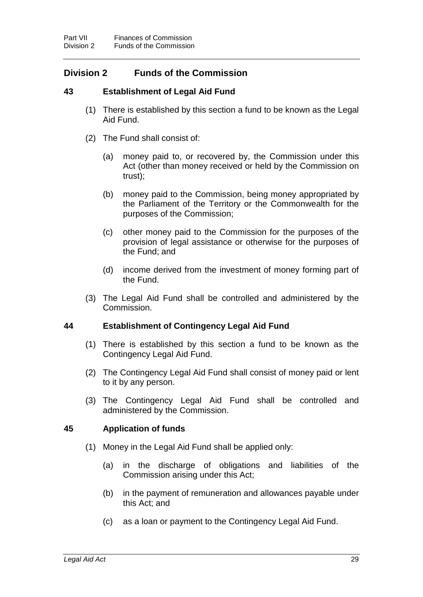# **Division 2 Funds of the Commission**

## **43 Establishment of Legal Aid Fund**

- (1) There is established by this section a fund to be known as the Legal Aid Fund.
- (2) The Fund shall consist of:
	- (a) money paid to, or recovered by, the Commission under this Act (other than money received or held by the Commission on trust);
	- (b) money paid to the Commission, being money appropriated by the Parliament of the Territory or the Commonwealth for the purposes of the Commission;
	- (c) other money paid to the Commission for the purposes of the provision of legal assistance or otherwise for the purposes of the Fund; and
	- (d) income derived from the investment of money forming part of the Fund.
- (3) The Legal Aid Fund shall be controlled and administered by the Commission.

### **44 Establishment of Contingency Legal Aid Fund**

- (1) There is established by this section a fund to be known as the Contingency Legal Aid Fund.
- (2) The Contingency Legal Aid Fund shall consist of money paid or lent to it by any person.
- (3) The Contingency Legal Aid Fund shall be controlled and administered by the Commission.

### **45 Application of funds**

- (1) Money in the Legal Aid Fund shall be applied only:
	- (a) in the discharge of obligations and liabilities of the Commission arising under this Act;
	- (b) in the payment of remuneration and allowances payable under this Act; and
	- (c) as a loan or payment to the Contingency Legal Aid Fund.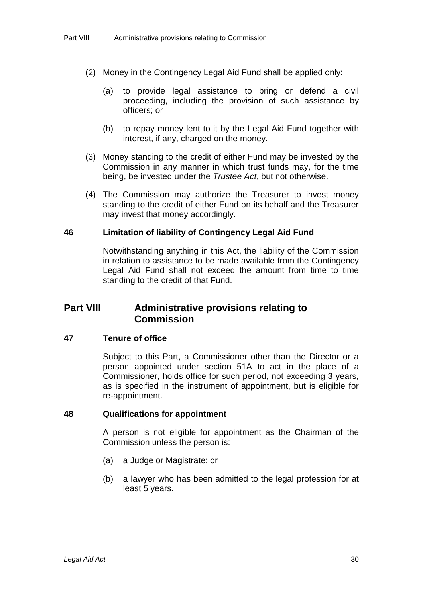- (2) Money in the Contingency Legal Aid Fund shall be applied only:
	- (a) to provide legal assistance to bring or defend a civil proceeding, including the provision of such assistance by officers; or
	- (b) to repay money lent to it by the Legal Aid Fund together with interest, if any, charged on the money.
- (3) Money standing to the credit of either Fund may be invested by the Commission in any manner in which trust funds may, for the time being, be invested under the *Trustee Act*, but not otherwise.
- (4) The Commission may authorize the Treasurer to invest money standing to the credit of either Fund on its behalf and the Treasurer may invest that money accordingly.

#### **46 Limitation of liability of Contingency Legal Aid Fund**

Notwithstanding anything in this Act, the liability of the Commission in relation to assistance to be made available from the Contingency Legal Aid Fund shall not exceed the amount from time to time standing to the credit of that Fund.

# **Part VIII Administrative provisions relating to Commission**

#### **47 Tenure of office**

Subject to this Part, a Commissioner other than the Director or a person appointed under section 51A to act in the place of a Commissioner, holds office for such period, not exceeding 3 years, as is specified in the instrument of appointment, but is eligible for re-appointment.

#### **48 Qualifications for appointment**

A person is not eligible for appointment as the Chairman of the Commission unless the person is:

- (a) a Judge or Magistrate; or
- (b) a lawyer who has been admitted to the legal profession for at least 5 years.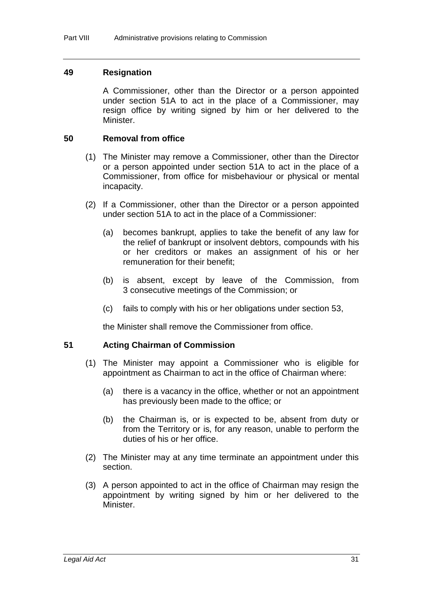#### **49 Resignation**

A Commissioner, other than the Director or a person appointed under section 51A to act in the place of a Commissioner, may resign office by writing signed by him or her delivered to the Minister.

#### **50 Removal from office**

- (1) The Minister may remove a Commissioner, other than the Director or a person appointed under section 51A to act in the place of a Commissioner, from office for misbehaviour or physical or mental incapacity.
- (2) If a Commissioner, other than the Director or a person appointed under section 51A to act in the place of a Commissioner:
	- (a) becomes bankrupt, applies to take the benefit of any law for the relief of bankrupt or insolvent debtors, compounds with his or her creditors or makes an assignment of his or her remuneration for their benefit;
	- (b) is absent, except by leave of the Commission, from 3 consecutive meetings of the Commission; or
	- (c) fails to comply with his or her obligations under section 53,

the Minister shall remove the Commissioner from office.

### **51 Acting Chairman of Commission**

- (1) The Minister may appoint a Commissioner who is eligible for appointment as Chairman to act in the office of Chairman where:
	- (a) there is a vacancy in the office, whether or not an appointment has previously been made to the office; or
	- (b) the Chairman is, or is expected to be, absent from duty or from the Territory or is, for any reason, unable to perform the duties of his or her office.
- (2) The Minister may at any time terminate an appointment under this section.
- (3) A person appointed to act in the office of Chairman may resign the appointment by writing signed by him or her delivered to the Minister.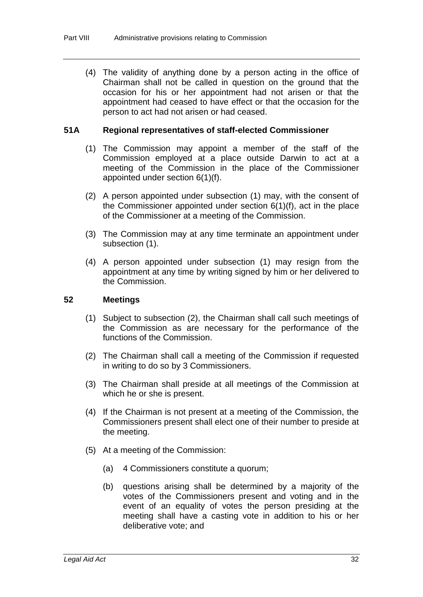(4) The validity of anything done by a person acting in the office of Chairman shall not be called in question on the ground that the occasion for his or her appointment had not arisen or that the appointment had ceased to have effect or that the occasion for the person to act had not arisen or had ceased.

## **51A Regional representatives of staff-elected Commissioner**

- (1) The Commission may appoint a member of the staff of the Commission employed at a place outside Darwin to act at a meeting of the Commission in the place of the Commissioner appointed under section 6(1)(f).
- (2) A person appointed under subsection (1) may, with the consent of the Commissioner appointed under section 6(1)(f), act in the place of the Commissioner at a meeting of the Commission.
- (3) The Commission may at any time terminate an appointment under subsection (1).
- (4) A person appointed under subsection (1) may resign from the appointment at any time by writing signed by him or her delivered to the Commission.

## **52 Meetings**

- (1) Subject to subsection (2), the Chairman shall call such meetings of the Commission as are necessary for the performance of the functions of the Commission.
- (2) The Chairman shall call a meeting of the Commission if requested in writing to do so by 3 Commissioners.
- (3) The Chairman shall preside at all meetings of the Commission at which he or she is present.
- (4) If the Chairman is not present at a meeting of the Commission, the Commissioners present shall elect one of their number to preside at the meeting.
- (5) At a meeting of the Commission:
	- (a) 4 Commissioners constitute a quorum;
	- (b) questions arising shall be determined by a majority of the votes of the Commissioners present and voting and in the event of an equality of votes the person presiding at the meeting shall have a casting vote in addition to his or her deliberative vote; and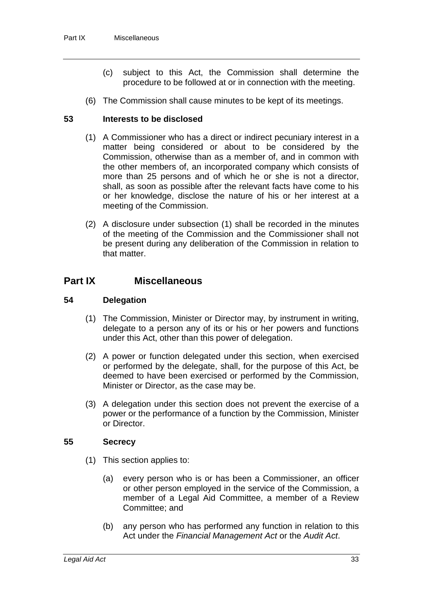- (c) subject to this Act, the Commission shall determine the procedure to be followed at or in connection with the meeting.
- (6) The Commission shall cause minutes to be kept of its meetings.

## **53 Interests to be disclosed**

- (1) A Commissioner who has a direct or indirect pecuniary interest in a matter being considered or about to be considered by the Commission, otherwise than as a member of, and in common with the other members of, an incorporated company which consists of more than 25 persons and of which he or she is not a director, shall, as soon as possible after the relevant facts have come to his or her knowledge, disclose the nature of his or her interest at a meeting of the Commission.
- (2) A disclosure under subsection (1) shall be recorded in the minutes of the meeting of the Commission and the Commissioner shall not be present during any deliberation of the Commission in relation to that matter.

# **Part IX Miscellaneous**

### **54 Delegation**

- (1) The Commission, Minister or Director may, by instrument in writing, delegate to a person any of its or his or her powers and functions under this Act, other than this power of delegation.
- (2) A power or function delegated under this section, when exercised or performed by the delegate, shall, for the purpose of this Act, be deemed to have been exercised or performed by the Commission, Minister or Director, as the case may be.
- (3) A delegation under this section does not prevent the exercise of a power or the performance of a function by the Commission, Minister or Director.

### **55 Secrecy**

- (1) This section applies to:
	- (a) every person who is or has been a Commissioner, an officer or other person employed in the service of the Commission, a member of a Legal Aid Committee, a member of a Review Committee; and
	- (b) any person who has performed any function in relation to this Act under the *Financial Management Act* or the *Audit Act*.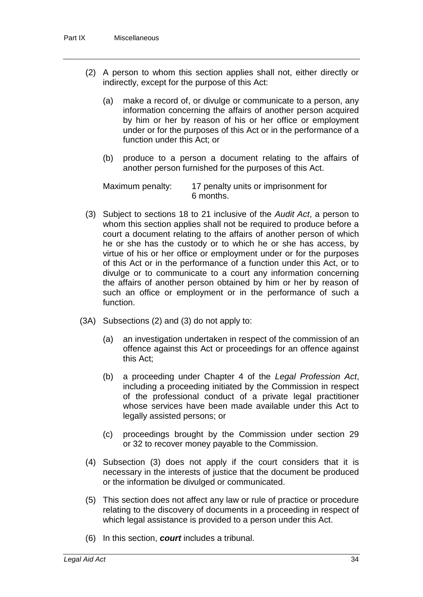- (2) A person to whom this section applies shall not, either directly or indirectly, except for the purpose of this Act:
	- (a) make a record of, or divulge or communicate to a person, any information concerning the affairs of another person acquired by him or her by reason of his or her office or employment under or for the purposes of this Act or in the performance of a function under this Act; or
	- (b) produce to a person a document relating to the affairs of another person furnished for the purposes of this Act.

Maximum penalty: 17 penalty units or imprisonment for 6 months.

- (3) Subject to sections 18 to 21 inclusive of the *Audit Act*, a person to whom this section applies shall not be required to produce before a court a document relating to the affairs of another person of which he or she has the custody or to which he or she has access, by virtue of his or her office or employment under or for the purposes of this Act or in the performance of a function under this Act, or to divulge or to communicate to a court any information concerning the affairs of another person obtained by him or her by reason of such an office or employment or in the performance of such a function.
- (3A) Subsections (2) and (3) do not apply to:
	- (a) an investigation undertaken in respect of the commission of an offence against this Act or proceedings for an offence against this Act;
	- (b) a proceeding under Chapter 4 of the *Legal Profession Act*, including a proceeding initiated by the Commission in respect of the professional conduct of a private legal practitioner whose services have been made available under this Act to legally assisted persons; or
	- (c) proceedings brought by the Commission under section 29 or 32 to recover money payable to the Commission.
	- (4) Subsection (3) does not apply if the court considers that it is necessary in the interests of justice that the document be produced or the information be divulged or communicated.
	- (5) This section does not affect any law or rule of practice or procedure relating to the discovery of documents in a proceeding in respect of which legal assistance is provided to a person under this Act.
	- (6) In this section, *court* includes a tribunal.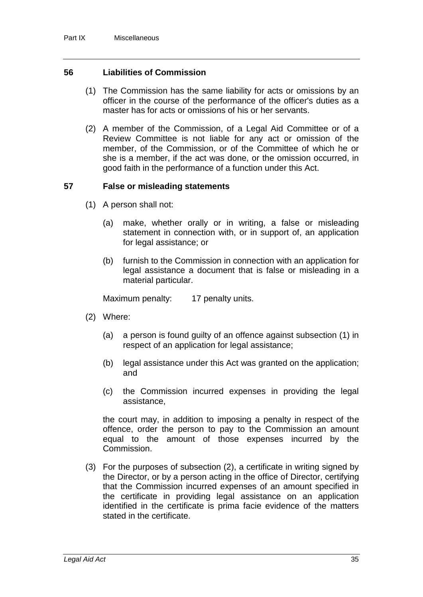### **56 Liabilities of Commission**

- (1) The Commission has the same liability for acts or omissions by an officer in the course of the performance of the officer's duties as a master has for acts or omissions of his or her servants.
- (2) A member of the Commission, of a Legal Aid Committee or of a Review Committee is not liable for any act or omission of the member, of the Commission, or of the Committee of which he or she is a member, if the act was done, or the omission occurred, in good faith in the performance of a function under this Act.

#### **57 False or misleading statements**

- (1) A person shall not:
	- (a) make, whether orally or in writing, a false or misleading statement in connection with, or in support of, an application for legal assistance; or
	- (b) furnish to the Commission in connection with an application for legal assistance a document that is false or misleading in a material particular.

Maximum penalty: 17 penalty units.

- (2) Where:
	- (a) a person is found guilty of an offence against subsection (1) in respect of an application for legal assistance;
	- (b) legal assistance under this Act was granted on the application; and
	- (c) the Commission incurred expenses in providing the legal assistance,

the court may, in addition to imposing a penalty in respect of the offence, order the person to pay to the Commission an amount equal to the amount of those expenses incurred by the Commission.

(3) For the purposes of subsection (2), a certificate in writing signed by the Director, or by a person acting in the office of Director, certifying that the Commission incurred expenses of an amount specified in the certificate in providing legal assistance on an application identified in the certificate is prima facie evidence of the matters stated in the certificate.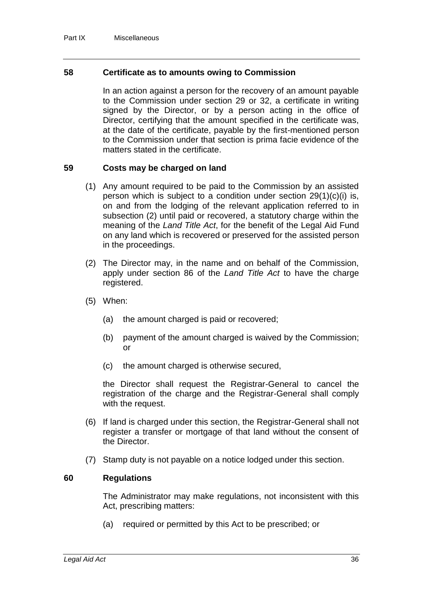#### **58 Certificate as to amounts owing to Commission**

In an action against a person for the recovery of an amount payable to the Commission under section 29 or 32, a certificate in writing signed by the Director, or by a person acting in the office of Director, certifying that the amount specified in the certificate was, at the date of the certificate, payable by the first-mentioned person to the Commission under that section is prima facie evidence of the matters stated in the certificate.

### **59 Costs may be charged on land**

- (1) Any amount required to be paid to the Commission by an assisted person which is subject to a condition under section 29(1)(c)(i) is, on and from the lodging of the relevant application referred to in subsection (2) until paid or recovered, a statutory charge within the meaning of the *Land Title Act*, for the benefit of the Legal Aid Fund on any land which is recovered or preserved for the assisted person in the proceedings.
- (2) The Director may, in the name and on behalf of the Commission, apply under section 86 of the *Land Title Act* to have the charge registered.
- (5) When:
	- (a) the amount charged is paid or recovered;
	- (b) payment of the amount charged is waived by the Commission; or
	- (c) the amount charged is otherwise secured,

the Director shall request the Registrar-General to cancel the registration of the charge and the Registrar-General shall comply with the request.

- (6) If land is charged under this section, the Registrar-General shall not register a transfer or mortgage of that land without the consent of the Director.
- (7) Stamp duty is not payable on a notice lodged under this section.

### **60 Regulations**

The Administrator may make regulations, not inconsistent with this Act, prescribing matters:

(a) required or permitted by this Act to be prescribed; or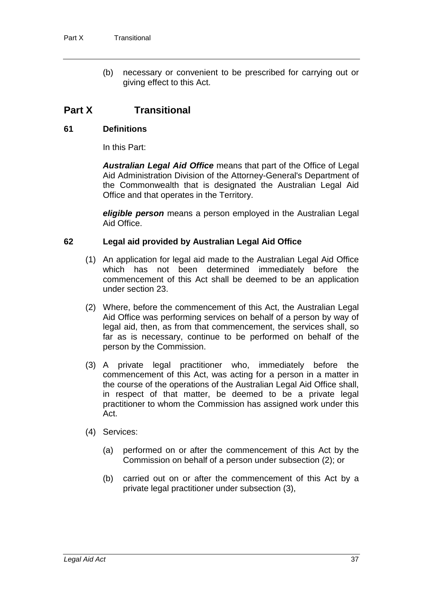(b) necessary or convenient to be prescribed for carrying out or giving effect to this Act.

# **Part X Transitional**

### **61 Definitions**

In this Part:

*Australian Legal Aid Office* means that part of the Office of Legal Aid Administration Division of the Attorney-General's Department of the Commonwealth that is designated the Australian Legal Aid Office and that operates in the Territory.

*eligible person* means a person employed in the Australian Legal Aid Office.

### **62 Legal aid provided by Australian Legal Aid Office**

- (1) An application for legal aid made to the Australian Legal Aid Office which has not been determined immediately before the commencement of this Act shall be deemed to be an application under section 23.
- (2) Where, before the commencement of this Act, the Australian Legal Aid Office was performing services on behalf of a person by way of legal aid, then, as from that commencement, the services shall, so far as is necessary, continue to be performed on behalf of the person by the Commission.
- (3) A private legal practitioner who, immediately before the commencement of this Act, was acting for a person in a matter in the course of the operations of the Australian Legal Aid Office shall, in respect of that matter, be deemed to be a private legal practitioner to whom the Commission has assigned work under this Act.
- (4) Services:
	- (a) performed on or after the commencement of this Act by the Commission on behalf of a person under subsection (2); or
	- (b) carried out on or after the commencement of this Act by a private legal practitioner under subsection (3),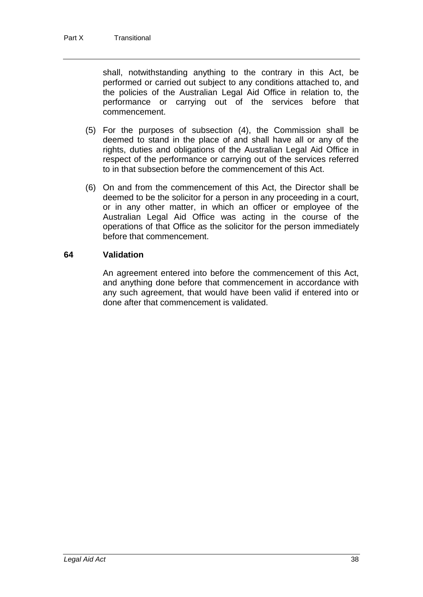shall, notwithstanding anything to the contrary in this Act, be performed or carried out subject to any conditions attached to, and the policies of the Australian Legal Aid Office in relation to, the performance or carrying out of the services before that commencement.

- (5) For the purposes of subsection (4), the Commission shall be deemed to stand in the place of and shall have all or any of the rights, duties and obligations of the Australian Legal Aid Office in respect of the performance or carrying out of the services referred to in that subsection before the commencement of this Act.
- (6) On and from the commencement of this Act, the Director shall be deemed to be the solicitor for a person in any proceeding in a court, or in any other matter, in which an officer or employee of the Australian Legal Aid Office was acting in the course of the operations of that Office as the solicitor for the person immediately before that commencement.

## **64 Validation**

An agreement entered into before the commencement of this Act, and anything done before that commencement in accordance with any such agreement, that would have been valid if entered into or done after that commencement is validated.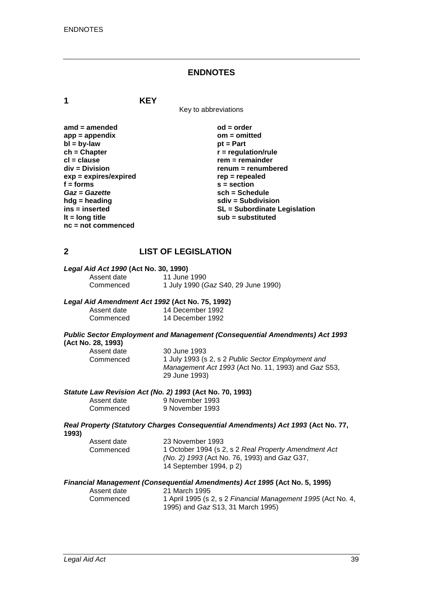#### **ENDNOTES**

**1 KEY**

Key to abbreviations

| amd = amended         |
|-----------------------|
| app = appendix        |
| $bl = by-law$         |
| ch = Chapter          |
| cl = clause           |
| div = Division        |
| exp = expires/expired |
| f = forms             |
| Gaz = Gazette         |
| hdg = heading         |
| ins = inserted        |
| It = $long$ title     |
| nc = not commenced    |

**ad = order app = appendix om = omitted pt = Part**  $\mathbf{r}$  = regulation/rule **cl = clause rem = remainder div = Division renum = renumbered exp = expires/expired rep = repealed f = forms s = section** *Gaz* **=** *Gazette* **sch = Schedule hdg = heading sdiv = Subdivision ins = inserted SL = Subordinate Legislation lt = long title sub = substituted**

# **2 LIST OF LEGISLATION**

# *Legal Aid Act 1990* **(Act No. 30, 1990)**

Assent date 11 June 1990<br>Commenced 1 July 1990 (0 Commenced 1 July 1990 (*Gaz* S40, 29 June 1990)

#### *Legal Aid Amendment Act 1992* **(Act No. 75, 1992)**

| Assent date | 14 December 1992 |
|-------------|------------------|
| Commenced   | 14 December 1992 |

#### *Public Sector Employment and Management (Consequential Amendments) Act 1993* **(Act No. 28, 1993)**

| Assent date | 30 June 1993                                        |
|-------------|-----------------------------------------------------|
| Commenced   | 1 July 1993 (s 2, s 2 Public Sector Employment and  |
|             | Management Act 1993 (Act No. 11, 1993) and Gaz S53, |
|             | 29 June 1993)                                       |

#### *Statute Law Revision Act (No. 2) 1993* **(Act No. 70, 1993)**

| Assent date | 9 November 1993 |
|-------------|-----------------|
| Commenced   | 9 November 1993 |

#### *Real Property (Statutory Charges Consequential Amendments) Act 1993* **(Act No. 77, 1993)**

| Assent date | 23 November 1993                                     |
|-------------|------------------------------------------------------|
| Commenced   | 1 October 1994 (s 2, s 2 Real Property Amendment Act |
|             | (No. 2) 1993 (Act No. 76, 1993) and Gaz G37,         |
|             | 14 September 1994, p 2)                              |

#### *Financial Management (Consequential Amendments) Act 1995* **(Act No. 5, 1995)**

| Assent date | 21 March 1995                                                |
|-------------|--------------------------------------------------------------|
| Commenced   | 1 April 1995 (s 2, s 2 Financial Management 1995 (Act No. 4, |
|             | 1995) and <i>Gaz</i> S13, 31 March 1995)                     |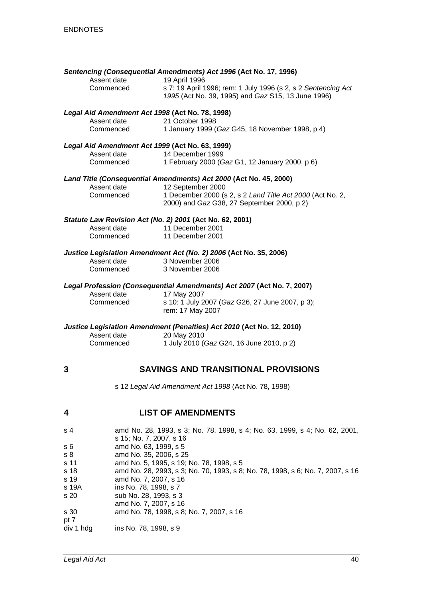|                |                                                                | Sentencing (Consequential Amendments) Act 1996 (Act No. 17, 1996)                                                                    |
|----------------|----------------------------------------------------------------|--------------------------------------------------------------------------------------------------------------------------------------|
|                | Assent date<br>Commenced                                       | 19 April 1996<br>s 7: 19 April 1996; rem: 1 July 1996 (s 2, s 2 Sentencing Act<br>1995 (Act No. 39, 1995) and Gaz S15, 13 June 1996) |
|                | Legal Aid Amendment Act 1998 (Act No. 78, 1998)                |                                                                                                                                      |
|                | Assent date<br>Commenced                                       | 21 October 1998<br>1 January 1999 (Gaz G45, 18 November 1998, p 4)                                                                   |
|                |                                                                |                                                                                                                                      |
|                | Legal Aid Amendment Act 1999 (Act No. 63, 1999)<br>Assent date | 14 December 1999                                                                                                                     |
|                | Commenced                                                      | 1 February 2000 (Gaz G1, 12 January 2000, p 6)                                                                                       |
|                |                                                                | Land Title (Consequential Amendments) Act 2000 (Act No. 45, 2000)                                                                    |
|                | Assent date                                                    | 12 September 2000                                                                                                                    |
|                | Commenced                                                      | 1 December 2000 (s 2, s 2 Land Title Act 2000 (Act No. 2,                                                                            |
|                |                                                                | 2000) and Gaz G38, 27 September 2000, p 2)                                                                                           |
|                |                                                                | Statute Law Revision Act (No. 2) 2001 (Act No. 62, 2001)                                                                             |
|                | Assent date<br>Commenced                                       | 11 December 2001<br>11 December 2001                                                                                                 |
|                |                                                                |                                                                                                                                      |
|                |                                                                | Justice Legislation Amendment Act (No. 2) 2006 (Act No. 35, 2006)                                                                    |
|                | Assent date<br>Commenced                                       | 3 November 2006<br>3 November 2006                                                                                                   |
|                |                                                                |                                                                                                                                      |
|                |                                                                | Legal Profession (Consequential Amendments) Act 2007 (Act No. 7, 2007)                                                               |
|                | Assent date<br>Commenced                                       | 17 May 2007<br>s 10: 1 July 2007 (Gaz G26, 27 June 2007, p 3);                                                                       |
|                |                                                                | rem: 17 May 2007                                                                                                                     |
|                |                                                                | Justice Legislation Amendment (Penalties) Act 2010 (Act No. 12, 2010)                                                                |
|                | Assent date                                                    | 20 May 2010                                                                                                                          |
|                | Commenced                                                      | 1 July 2010 (Gaz G24, 16 June 2010, p 2)                                                                                             |
|                |                                                                |                                                                                                                                      |
| 3              |                                                                | <b>SAVINGS AND TRANSITIONAL PROVISIONS</b>                                                                                           |
|                |                                                                | s 12 Legal Aid Amendment Act 1998 (Act No. 78, 1998)                                                                                 |
| 4              |                                                                | <b>LIST OF AMENDMENTS</b>                                                                                                            |
| s 4            |                                                                | amd No. 28, 1993, s 3; No. 78, 1998, s 4; No. 63, 1999, s 4; No. 62, 2001,                                                           |
| s 6            | s 15; No. 7, 2007, s 16<br>amd No. 63, 1999, s 5               |                                                                                                                                      |
| s <sub>8</sub> | amd No. 35, 2006, s 25                                         |                                                                                                                                      |
| s 11           |                                                                | amd No. 5, 1995, s 19; No. 78, 1998, s 5                                                                                             |
| s 18           |                                                                | amd No. 28, 2993, s 3; No. 70, 1993, s 8; No. 78, 1998, s 6; No. 7, 2007, s 16                                                       |
| s 19<br>s 19A  | amd No. 7, 2007, s 16<br>ins No. 78, 1998, s 7                 |                                                                                                                                      |
| s 20           | sub No. 28, 1993, s 3                                          |                                                                                                                                      |
|                | amd No. 7, 2007, s 16                                          |                                                                                                                                      |